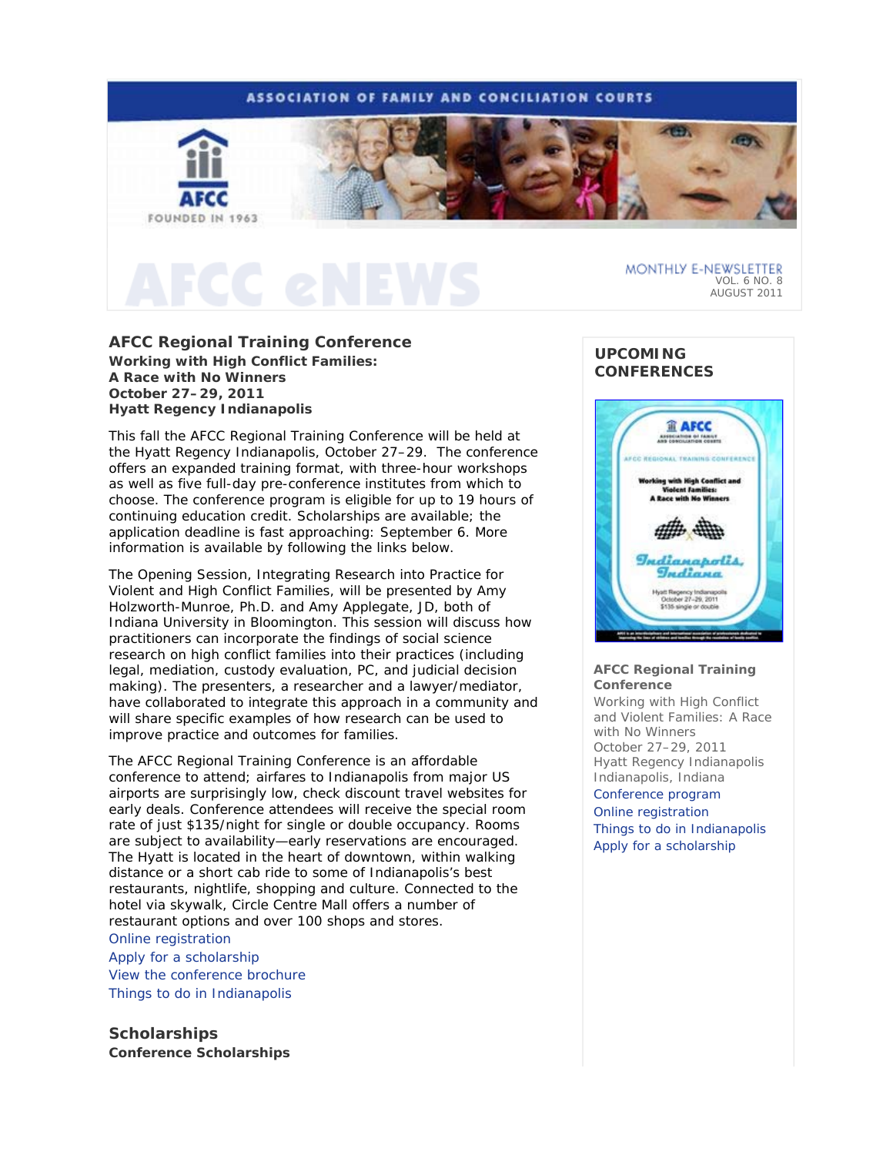# **ASSOCIATION OF FAMILY AND CONCILIATION COURTS** FOUNDED IN 1963

# **AFCC Regional Training Conference**

*Working with High Conflict Families: A Race with No Winners* **October 27–29, 2011 Hyatt Regency Indianapolis** 

This fall the AFCC Regional Training Conference will be held at the Hyatt Regency Indianapolis, October 27–29. The conference offers an expanded training format, with three-hour workshops as well as five full-day pre-conference institutes from which to choose. The conference program is eligible for up to 19 hours of continuing education credit. Scholarships are available; the application deadline is fast approaching: September 6. More information is available by following the links below.

The Opening Session, *Integrating Research into Practice for Violent and High Conflict Families*, will be presented by Amy Holzworth-Munroe, Ph.D. and Amy Applegate, JD, both of Indiana University in Bloomington. This session will discuss how practitioners can incorporate the findings of social science research on high conflict families into their practices (including legal, mediation, custody evaluation, PC, and judicial decision making). The presenters, a researcher and a lawyer/mediator, have collaborated to integrate this approach in a community and will share specific examples of how research can be used to improve practice and outcomes for families.

The AFCC Regional Training Conference is an affordable conference to attend; airfares to Indianapolis from major US airports are surprisingly low, check discount travel websites for early deals. Conference attendees will receive the special room rate of just \$135/night for single or double occupancy. Rooms are subject to availability—early reservations are encouraged. The Hyatt is located in the heart of downtown, within walking distance or a short cab ride to some of Indianapolis's best restaurants, nightlife, shopping and culture. Connected to the hotel via skywalk, Circle Centre Mall offers a number of restaurant options and over 100 shops and stores.

## Online registration Apply for a scholarship

View the conference brochure Things to do in Indianapolis

**Scholarships Conference Scholarships** 

# **UPCOMING CONFERENCES**



VOL. 6 NO. 8 AUGUST 2011

MONTHLY E-NEWSLETTER

## **AFCC Regional Training Conference**

*Working with High Conflict and Violent Families: A Race with No Winners*  October 27–29, 2011 Hyatt Regency Indianapolis Indianapolis, Indiana Conference program Online registration Things to do in Indianapolis Apply for a scholarship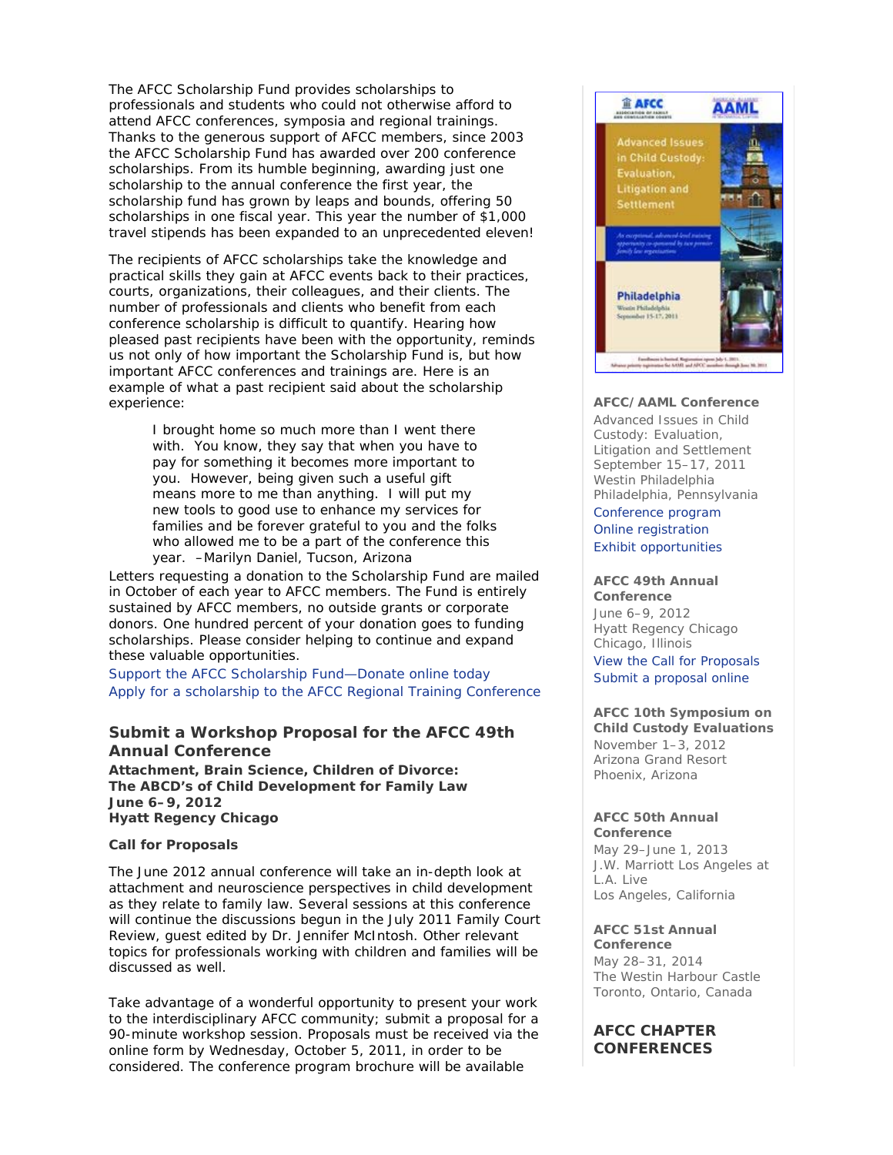The AFCC Scholarship Fund provides scholarships to professionals and students who could not otherwise afford to attend AFCC conferences, symposia and regional trainings. Thanks to the generous support of AFCC members, since 2003 the AFCC Scholarship Fund has awarded over 200 conference scholarships. From its humble beginning, awarding just one scholarship to the annual conference the first year, the scholarship fund has grown by leaps and bounds, offering 50 scholarships in one fiscal year. This year the number of \$1,000 travel stipends has been expanded to an unprecedented eleven!

The recipients of AFCC scholarships take the knowledge and practical skills they gain at AFCC events back to their practices, courts, organizations, their colleagues, and their clients. The number of professionals and clients who benefit from each conference scholarship is difficult to quantify. Hearing how pleased past recipients have been with the opportunity, reminds us not only of how important the Scholarship Fund is, but how important AFCC conferences and trainings are. Here is an example of what a past recipient said about the scholarship experience:

> *I brought home so much more than I went there with. You know, they say that when you have to pay for something it becomes more important to you. However, being given such a useful gift means more to me than anything. I will put my new tools to good use to enhance my services for families and be forever grateful to you and the folks who allowed me to be a part of the conference this year.* –Marilyn Daniel, Tucson, Arizona

Letters requesting a donation to the Scholarship Fund are mailed in October of each year to AFCC members. The Fund is entirely sustained by AFCC members, no outside grants or corporate donors. One hundred percent of your donation goes to funding scholarships. Please consider helping to continue and expand these valuable opportunities.

Support the AFCC Scholarship Fund—Donate online today Apply for a scholarship to the AFCC Regional Training Conference

# **Submit a Workshop Proposal for the AFCC 49th Annual Conference**

*Attachment, Brain Science, Children of Divorce: The ABCD's of Child Development for Family Law* **June 6–9, 2012 Hyatt Regency Chicago** 

## **Call for Proposals**

The June 2012 annual conference will take an in-depth look at attachment and neuroscience perspectives in child development as they relate to family law. Several sessions at this conference will continue the discussions begun in the July 2011 *Family Court Review*, guest edited by Dr. Jennifer McIntosh. Other relevant topics for professionals working with children and families will be discussed as well.

Take advantage of a wonderful opportunity to present your work to the interdisciplinary AFCC community; submit a proposal for a 90-minute workshop session. Proposals must be received via the online form by Wednesday, October 5, 2011, in order to be considered. The conference program brochure will be available



## **AFCC/AAML Conference**

*Advanced Issues in Child Custody: Evaluation, Litigation and Settlement* September 15–17, 2011 Westin Philadelphia Philadelphia, Pennsylvania

Conference program Online registration Exhibit opportunities

#### **AFCC 49th Annual Conference**

June 6–9, 2012 Hyatt Regency Chicago Chicago, Illinois View the Call for Proposals Submit a proposal online

## **AFCC 10th Symposium on Child Custody Evaluations**  November 1–3, 2012 Arizona Grand Resort Phoenix, Arizona

## **AFCC 50th Annual Conference**

May 29–June 1, 2013 J.W. Marriott Los Angeles at L.A. Live Los Angeles, California

# **AFCC 51st Annual**

**Conference** May 28–31, 2014 The Westin Harbour Castle Toronto, Ontario, Canada

# **AFCC CHAPTER CONFERENCES**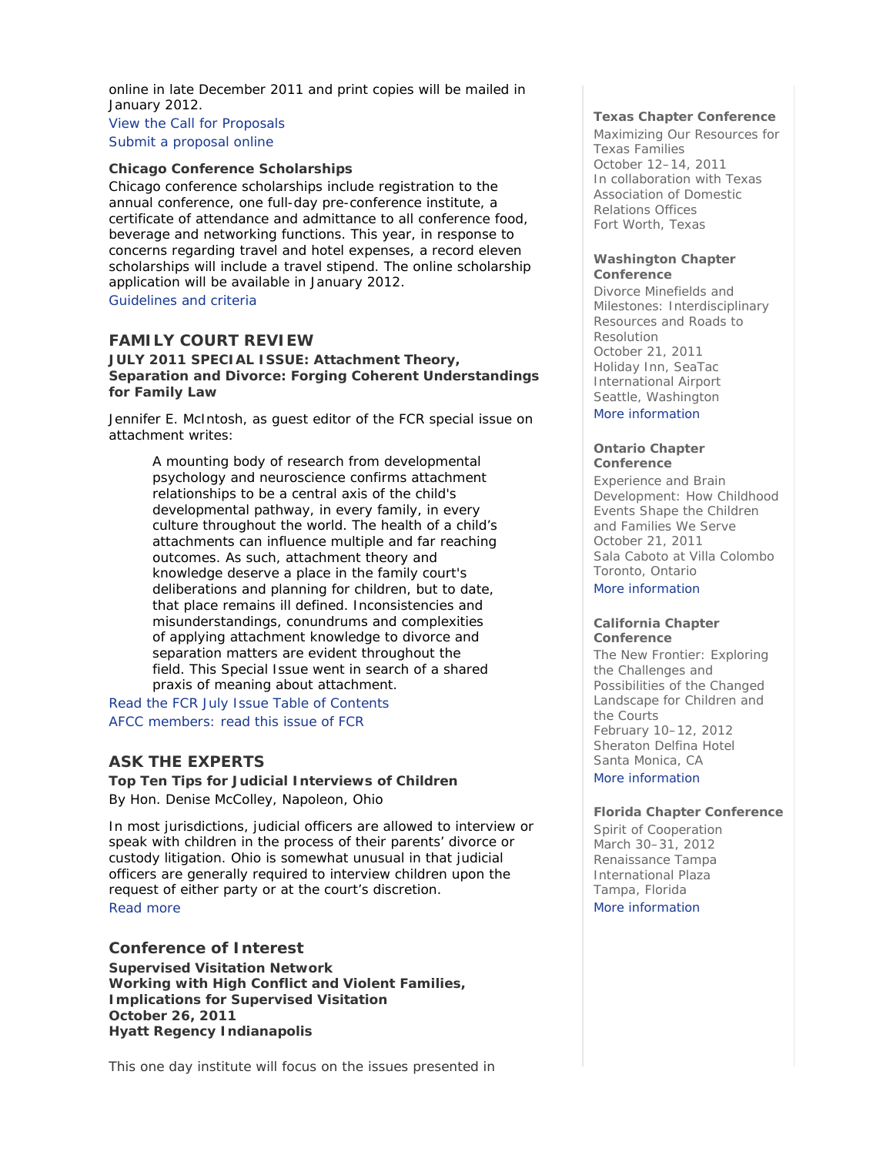online in late December 2011 and print copies will be mailed in January 2012.

View the Call for Proposals Submit a proposal online

# **Chicago Conference Scholarships**

Chicago conference scholarships include registration to the annual conference, one full-day pre-conference institute, a certificate of attendance and admittance to all conference food, beverage and networking functions. This year, in response to concerns regarding travel and hotel expenses, a record eleven scholarships will include a travel stipend. The online scholarship application will be available in January 2012.

Guidelines and criteria

# *FAMILY COURT REVIEW*

## **JULY 2011 SPECIAL ISSUE:** *Attachment Theory, Separation and Divorce: Forging Coherent Understandings for Family Law*

Jennifer E. McIntosh, as guest editor of the *FCR* special issue on attachment writes:

> *A mounting body of research from developmental psychology and neuroscience confirms attachment relationships to be a central axis of the child's developmental pathway, in every family, in every culture throughout the world. The health of a child's attachments can influence multiple and far reaching outcomes. As such, attachment theory and knowledge deserve a place in the family court's deliberations and planning for children, but to date, that place remains ill defined. Inconsistencies and misunderstandings, conundrums and complexities of applying attachment knowledge to divorce and separation matters are evident throughout the field. This Special Issue went in search of a shared praxis of meaning about attachment.*

Read the *FCR* July Issue Table of Contents AFCC members: read this issue of *FCR*

# **ASK THE EXPERTS**

**Top Ten Tips for Judicial Interviews of Children**  *By Hon. Denise McColley, Napoleon, Ohio*

In most jurisdictions, judicial officers are allowed to interview or speak with children in the process of their parents' divorce or custody litigation. Ohio is somewhat unusual in that judicial officers are generally required to interview children upon the request of either party or at the court's discretion. Read more

# **Conference of Interest**

**Supervised Visitation Network**  *Working with High Conflict and Violent Families, Implications for Supervised Visitation* **October 26, 2011 Hyatt Regency Indianapolis** 

This one day institute will focus on the issues presented in

## **Texas Chapter Conference**

*Maximizing Our Resources for Texas Families* October 12–14, 2011 In collaboration with Texas Association of Domestic Relations Offices Fort Worth, Texas

### **Washington Chapter Conference**

*Divorce Minefields and Milestones: Interdisciplinary Resources and Roads to Resolution* October 21, 2011 Holiday Inn, SeaTac International Airport Seattle, Washington More information

## **Ontario Chapter Conference**

*Experience and Brain Development: How Childhood Events Shape the Children and Families We Serve*  October 21, 2011 Sala Caboto at Villa Colombo Toronto, Ontario

More information

### **California Chapter Conference**

*The New Frontier: Exploring the Challenges and Possibilities of the Changed Landscape for Children and the Courts* February 10–12, 2012 Sheraton Delfina Hotel Santa Monica, CA More information

## **Florida Chapter Conference**

*Spirit of Cooperation* March 30–31, 2012 Renaissance Tampa International Plaza Tampa, Florida More information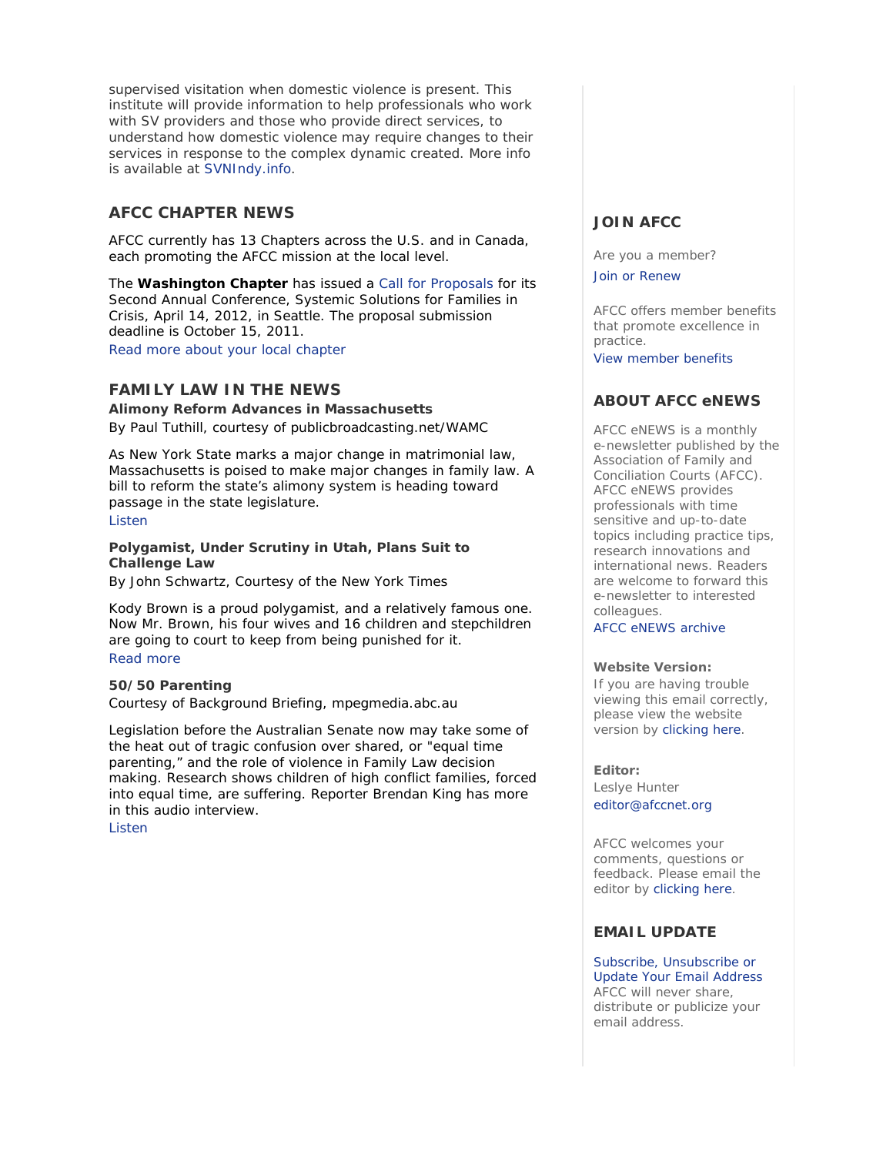supervised visitation when domestic violence is present. This institute will provide information to help professionals who work with SV providers and those who provide direct services, to understand how domestic violence may require changes to their services in response to the complex dynamic created. More info is available at SVNIndy.info.

# **AFCC CHAPTER NEWS**

AFCC currently has 13 Chapters across the U.S. and in Canada, each promoting the AFCC mission at the local level.

The **Washington Chapter** has issued a Call for Proposals for its Second Annual Conference, *Systemic Solutions for Families in Crisis*, April 14, 2012, in Seattle. The proposal submission deadline is October 15, 2011.

Read more about your local chapter

# **FAMILY LAW IN THE NEWS**

**Alimony Reform Advances in Massachusetts**  *By Paul Tuthill, courtesy of publicbroadcasting.net/WAMC*

As New York State marks a major change in matrimonial law, Massachusetts is poised to make major changes in family law. A bill to reform the state's alimony system is heading toward passage in the state legislature. Listen

## **Polygamist, Under Scrutiny in Utah, Plans Suit to Challenge Law**

*By John Schwartz, Courtesy of the New York Times*

Kody Brown is a proud polygamist, and a relatively famous one. Now Mr. Brown, his four wives and 16 children and stepchildren are going to court to keep from being punished for it. Read more

# **50/50 Parenting**

*Courtesy of Background Briefing, mpegmedia.abc.au*

Legislation before the Australian Senate now may take some of the heat out of tragic confusion over shared, or "equal time parenting," and the role of violence in Family Law decision making. Research shows children of high conflict families, forced into equal time, are suffering. Reporter Brendan King has more in this audio interview.

Listen

# **JOIN AFCC**

Are you a member?

Join or Renew

AFCC offers member benefits that promote excellence in practice.

View member benefits

# **ABOUT AFCC eNEWS**

*AFCC eNEWS* is a monthly e-newsletter published by the Association of Family and Conciliation Courts (AFCC). *AFCC eNEWS* provides professionals with time sensitive and up-to-date topics including practice tips, research innovations and international news. Readers are welcome to forward this e-newsletter to interested colleagues.

AFCC eNEWS archive

## **Website Version:**

If you are having trouble viewing this email correctly, please view the website version by clicking here.

**Editor:** 

Leslye Hunter editor@afccnet.org

AFCC welcomes your comments, questions or feedback. Please email the editor by clicking here.

# **EMAIL UPDATE**

Subscribe, Unsubscribe or Update Your Email Address AFCC will never share, distribute or publicize your email address.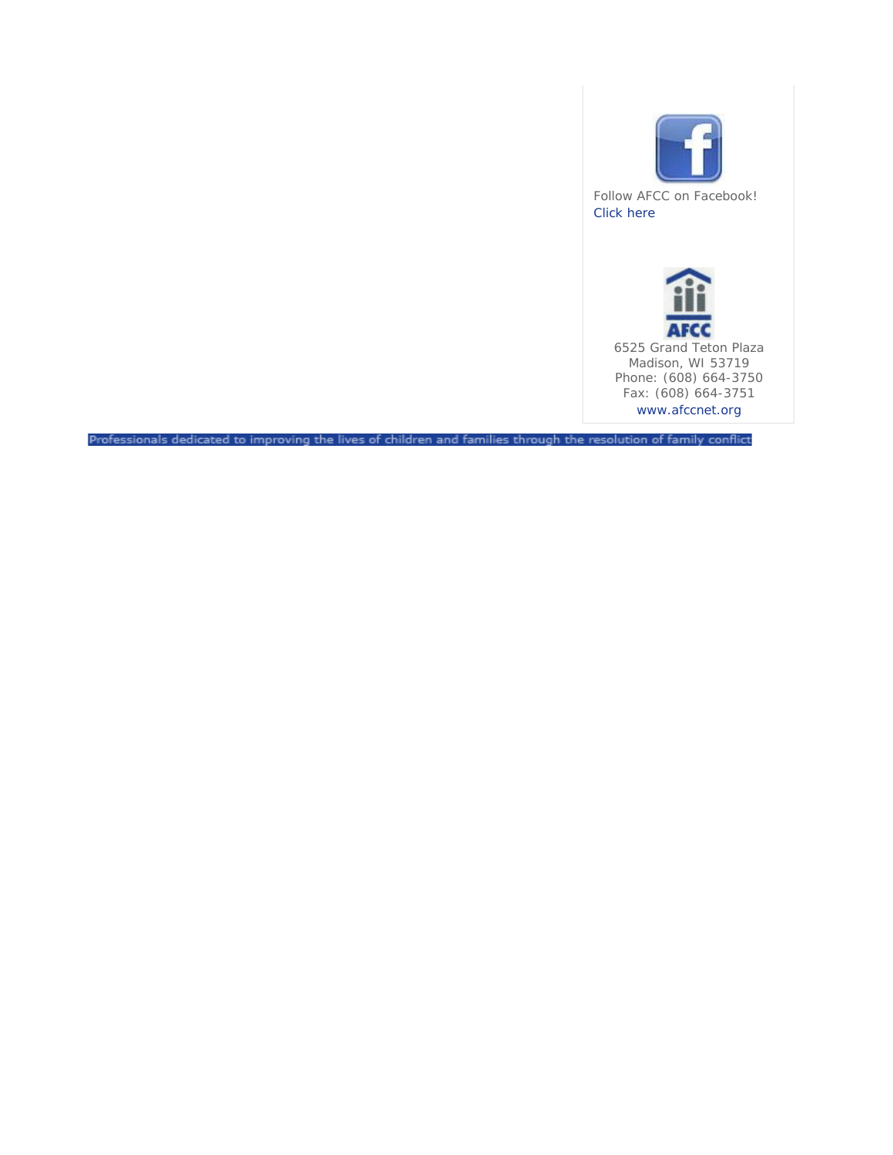

Follow AFCC on Facebook! Click here



Professionals dedicated to improving the lives of children and families through the resolution of family conflict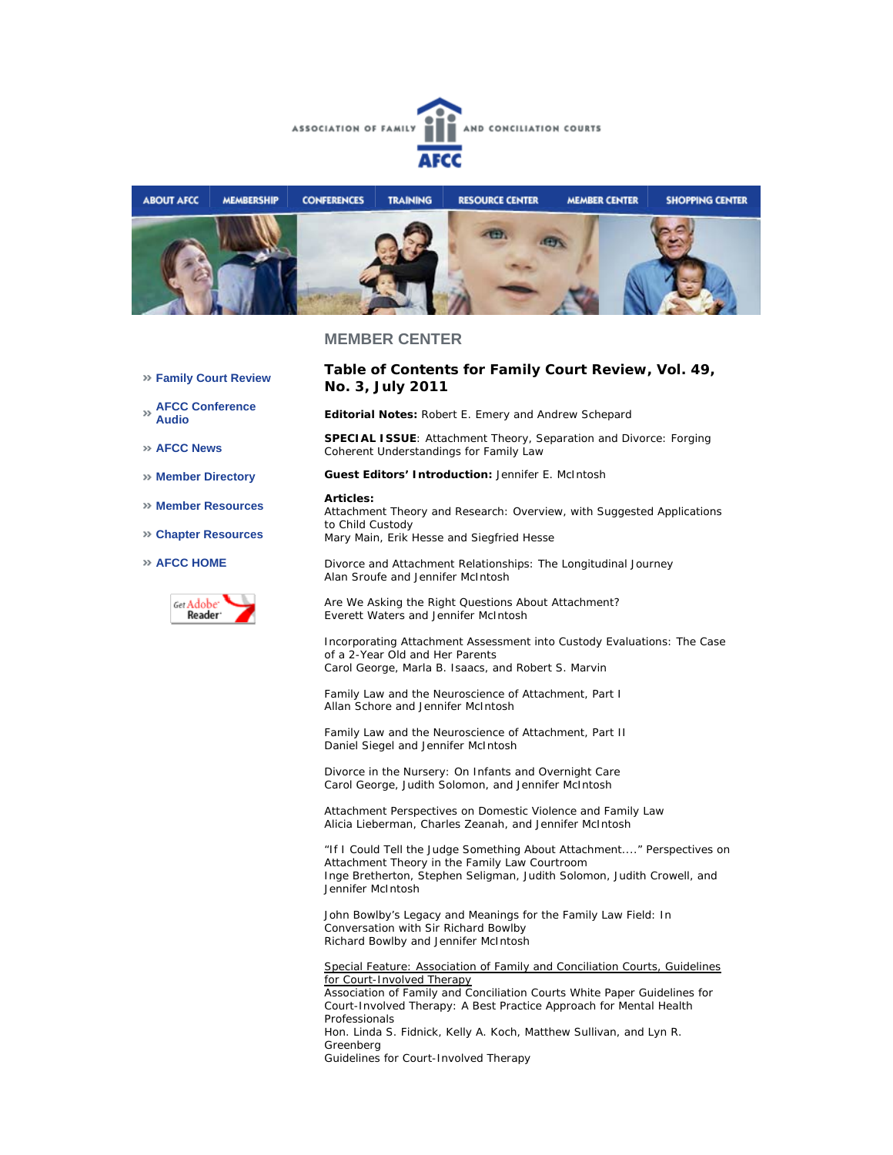



## **MEMBER CENTER**

- **Family Court Review**
- **AFCC Conference Audio**
- **AFCC News**
- **Member Directory**
- **Member Resources**
- **Chapter Resources**

#### **AFCC HOME**



## **Table of Contents for** *Family Court Review***, Vol. 49, No. 3, July 2011**

**Editorial Notes:** Robert E. Emery and Andrew Schepard

**SPECIAL ISSUE**: *Attachment Theory, Separation and Divorce: Forging Coherent Understandings for Family Law*

**Guest Editors' Introduction:** Jennifer E. McIntosh

#### **Articles:**

*Attachment Theory and Research: Overview, with Suggested Applications to Child Custody*  Mary Main, Erik Hesse and Siegfried Hesse

*Divorce and Attachment Relationships: The Longitudinal Journey*  Alan Sroufe and Jennifer McIntosh

*Are We Asking the Right Questions About Attachment?* Everett Waters and Jennifer McIntosh

*Incorporating Attachment Assessment into Custody Evaluations: The Case of a 2-Year Old and Her Parents* Carol George, Marla B. Isaacs, and Robert S. Marvin

*Family Law and the Neuroscience of Attachment, Part I* Allan Schore and Jennifer McIntosh

*Family Law and the Neuroscience of Attachment, Part II* Daniel Siegel and Jennifer McIntosh

*Divorce in the Nursery: On Infants and Overnight Care* Carol George, Judith Solomon, and Jennifer McIntosh

*Attachment Perspectives on Domestic Violence and Family Law* Alicia Lieberman, Charles Zeanah, and Jennifer McIntosh

*"If I Could Tell the Judge Something About Attachment...." Perspectives on Attachment Theory in the Family Law Courtroom* Inge Bretherton, Stephen Seligman, Judith Solomon, Judith Crowell, and Jennifer McIntosh

*John Bowlby's Legacy and Meanings for the Family Law Field: In Conversation with Sir Richard Bowlby* Richard Bowlby and Jennifer McIntosh

#### Special Feature: Association of Family and Conciliation Courts, Guidelines for Court-Involved Therapy

*Association of Family and Conciliation Courts White Paper Guidelines for Court-Involved Therapy: A Best Practice Approach for Mental Health Professionals* Hon. Linda S. Fidnick, Kelly A. Koch, Matthew Sullivan, and Lyn R. Greenberg *Guidelines for Court-Involved Therapy*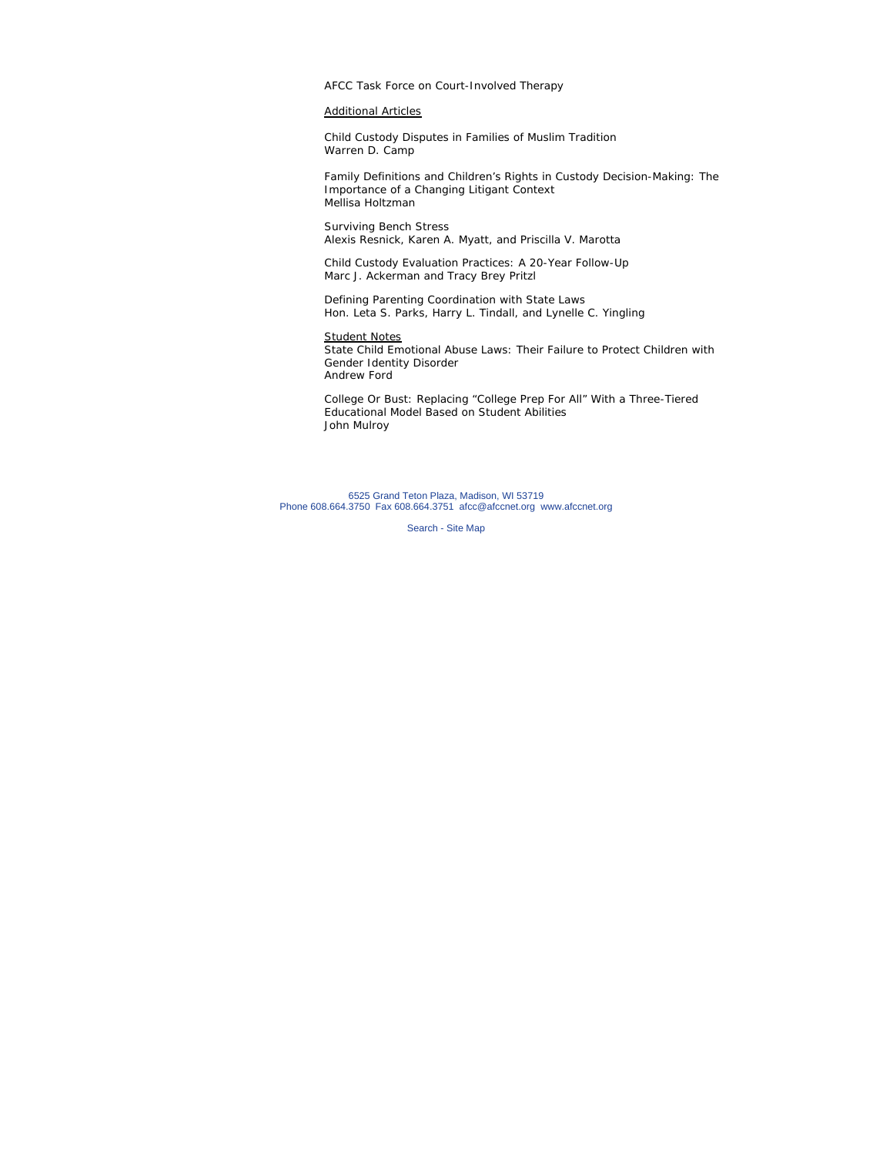AFCC Task Force on Court-Involved Therapy

## Additional Articles

*Child Custody Disputes in Families of Muslim Tradition* Warren D. Camp

*Family Definitions and Children's Rights in Custody Decision-Making: The Importance of a Changing Litigant Context* Mellisa Holtzman

*Surviving Bench Stress* Alexis Resnick, Karen A. Myatt, and Priscilla V. Marotta

*Child Custody Evaluation Practices: A 20-Year Follow-Up* Marc J. Ackerman and Tracy Brey Pritzl

*Defining Parenting Coordination with State Laws* Hon. Leta S. Parks, Harry L. Tindall, and Lynelle C. Yingling

## Student Notes

*State Child Emotional Abuse Laws: Their Failure to Protect Children with Gender Identity Disorder* Andrew Ford

*College Or Bust: Replacing "College Prep For All" With a Three-Tiered Educational Model Based on Student Abilities* John Mulroy

6525 Grand Teton Plaza, Madison, WI 53719 Phone 608.664.3750 Fax 608.664.3751 afcc@afccnet.org www.afccnet.org

Search - Site Map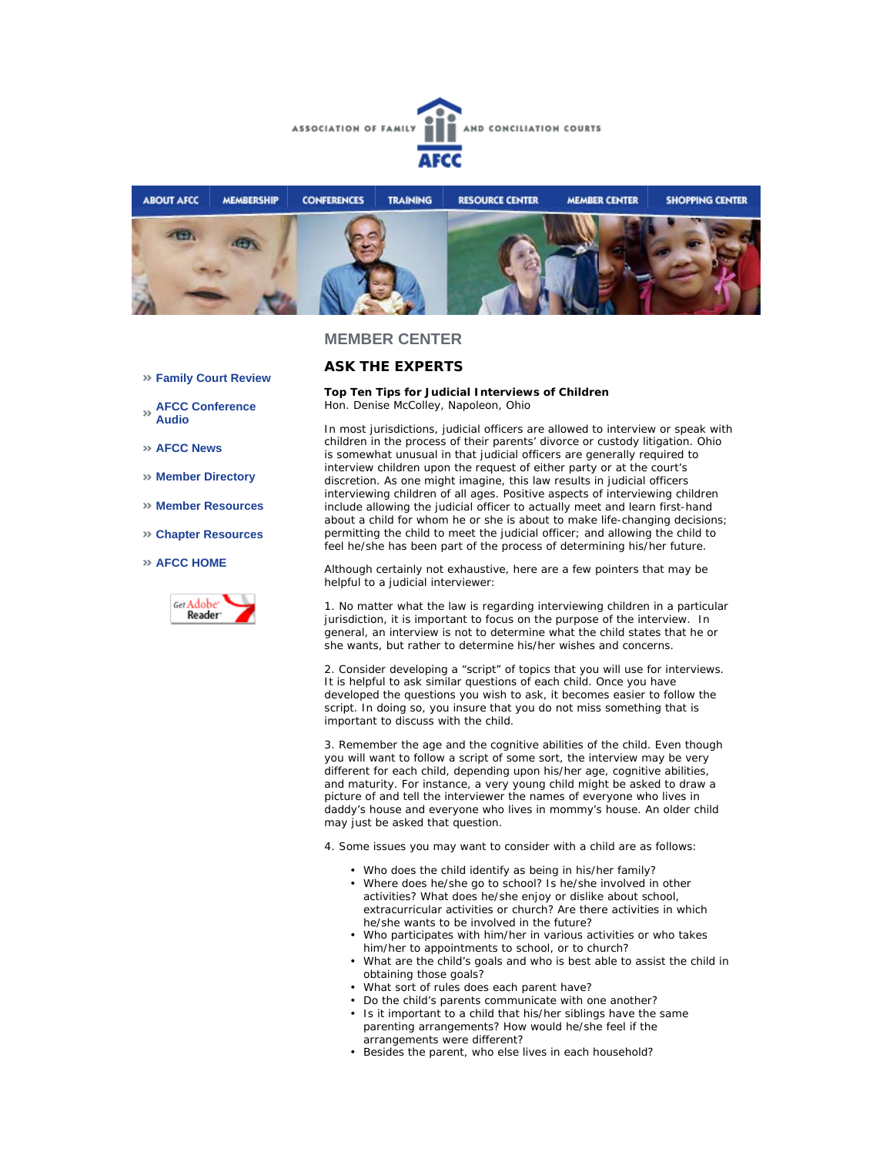



## **MEMBER CENTER**

## **ASK THE EXPERTS**

#### **Top Ten Tips for Judicial Interviews of Children**  *Hon. Denise McColley, Napoleon, Ohio*

In most jurisdictions, judicial officers are allowed to interview or speak with children in the process of their parents' divorce or custody litigation. Ohio is somewhat unusual in that judicial officers are generally required to interview children upon the request of either party or at the court's discretion. As one might imagine, this law results in judicial officers interviewing children of all ages. Positive aspects of interviewing children include allowing the judicial officer to actually meet and learn first-hand about a child for whom he or she is about to make life-changing decisions; permitting the child to meet the judicial officer; and allowing the child to feel he/she has been part of the process of determining his/her future.

Although certainly not exhaustive, here are a few pointers that may be helpful to a judicial interviewer:

1. No matter what the law is regarding interviewing children in a particular jurisdiction, it is important to focus on the purpose of the interview. In general, an interview is not to determine what the child states that he or she *wants*, but rather to determine his/her *wishes and concerns*.

2. Consider developing a "script" of topics that you will use for interviews. It is helpful to ask similar questions of each child. Once you have developed the questions you wish to ask, it becomes easier to follow the script. In doing so, you insure that you do not miss something that is important to discuss with the child.

3. Remember the age and the cognitive abilities of the child. Even though you will want to follow a script of some sort, the interview may be very different for each child, depending upon his/her age, cognitive abilities, and maturity. For instance, a very young child might be asked to draw a picture of and tell the interviewer the names of everyone who lives in daddy's house and everyone who lives in mommy's house. An older child may just be asked that question.

4. Some issues you may want to consider with a child are as follows:

- Who does the child identify as being in his/her family?
- Where does he/she go to school? Is he/she involved in other activities? What does he/she enjoy or dislike about school, extracurricular activities or church? Are there activities in which he/she wants to be involved in the future?
- Who participates with him/her in various activities or who takes him/her to appointments to school, or to church?
- What are the child's goals and who is best able to assist the child in obtaining those goals?
- What sort of rules does each parent have?
- Do the child's parents communicate with one another?
- Is it important to a child that his/her siblings have the same parenting arrangements? How would he/she feel if the arrangements were different?
- Besides the parent, who else lives in each household?
- **Family Court Review**
- **AFCC Conference Audio**
- **AFCC News**
- **Member Directory**
- **Member Resources**
- **Chapter Resources**

### **AFCC HOME**

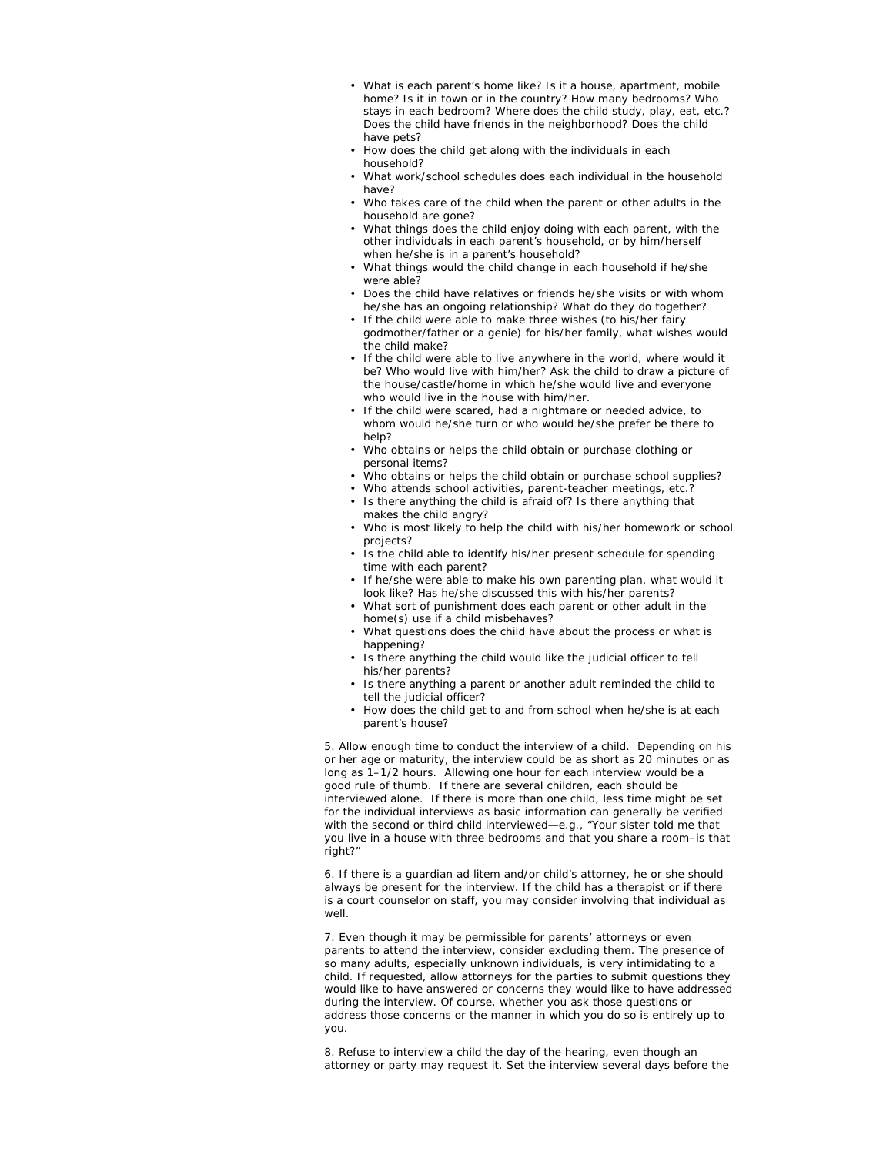- What is each parent's home like? Is it a house, apartment, mobile home? Is it in town or in the country? How many bedrooms? Who stays in each bedroom? Where does the child study, play, eat, etc.? Does the child have friends in the neighborhood? Does the child have pets?
- How does the child get along with the individuals in each household?
- What work/school schedules does each individual in the household have?
- Who takes care of the child when the parent or other adults in the household are gone?
- What things does the child enjoy doing with each parent, with the other individuals in each parent's household, or by him/herself when he/she is in a parent's household?
- What things would the child change in each household if he/she were able?
- Does the child have relatives or friends he/she visits or with whom he/she has an ongoing relationship? What do they do together?
- If the child were able to make three wishes (to his/her fairy godmother/father or a genie) for his/her family, what wishes would the child make?
- If the child were able to live anywhere in the world, where would it be? Who would live with him/her? Ask the child to draw a picture of the house/castle/home in which he/she would live and everyone who would live in the house with him/her.
- If the child were scared, had a nightmare or needed advice, to whom would he/she turn or who would he/she prefer be there to help?
- Who obtains or helps the child obtain or purchase clothing or personal items?
- Who obtains or helps the child obtain or purchase school supplies?
- Who attends school activities, parent-teacher meetings, etc.?
- Is there anything the child is afraid of? Is there anything that makes the child angry?
	- Who is most likely to help the child with his/her homework or school projects?
	- Is the child able to identify his/her present schedule for spending time with each parent?
- If he/she were able to make his own parenting plan, what would it look like? Has he/she discussed this with his/her parents?
- What sort of punishment does each parent or other adult in the home(s) use if a child misbehaves?
- What questions does the child have about the process or what is happening?
- Is there anything the child would like the judicial officer to tell his/her parents?
- Is there anything a parent or another adult reminded the child to tell the judicial officer?
- How does the child get to and from school when he/she is at each parent's house?

5. Allow enough time to conduct the interview of a child. Depending on his or her age or maturity, the interview could be as short as 20 minutes or as long as 1–1/2 hours. Allowing one hour for each interview would be a good rule of thumb. If there are several children, each should be interviewed alone. If there is more than one child, less time might be set for the individual interviews as basic information can generally be verified with the second or third child interviewed—e.g., "Your sister told me that you live in a house with three bedrooms and that you share a room–is that right?"

6. If there is a guardian *ad litem* and/or child's attorney, he or she should always be present for the interview. If the child has a therapist or if there is a court counselor on staff, you may consider involving that individual as well.

7. Even though it may be permissible for parents' attorneys or even parents to attend the interview, consider excluding them. The presence of so many adults, especially unknown individuals, is very intimidating to a child. If requested, allow attorneys for the parties to submit questions they would like to have answered or concerns they would like to have addressed during the interview. Of course, whether you ask those questions or address those concerns or the manner in which you do so is entirely up to you.

8. Refuse to interview a child the day of the hearing, even though an attorney or party may request it. Set the interview several days before the